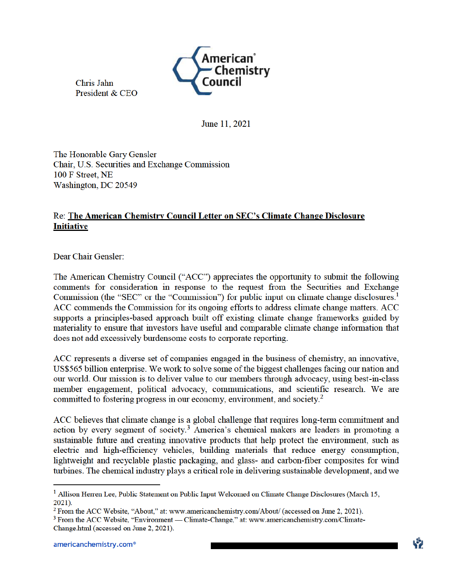Chris Jahn President & CEO



June 11, 2021

The Honorable Gary Gensler Chair, U.S. Securities and Exchange Commission 100 F Street, NE Washington, DC 20549

## Re: The American Chemistry Council Letter on SEC's Climate Change Disclosure **Initiative**

Dear Chair Gensler:

The American Chemistry Council ("ACC") appreciates the opportunity to submit the following comments for consideration in response to the request from the Securities and Exchange Commission (the "SEC" or the "Commission") for public input on climate change disclosures.<sup>1</sup> ACC commends the Commission for its ongoing efforts to address climate change matters. ACC supports a principles-based approach built off existing climate change frameworks guided by materiality to ensure that investors have useful and comparable climate change information that does not add excessively burdensome costs to corporate reporting.

ACC represents a diverse set of companies engaged in the business of chemistry, an innovative, US\$565 billion enterprise. We work to solve some of the biggest challenges facing our nation and our world. Our mission is to deliver value to our members through advocacy, using best-in-class member engagement, political advocacy, communications, and scientific research. We are committed to fostering progress in our economy, environment, and society.<sup>2</sup>

ACC believes that climate change is a global challenge that requires long-term commitment and action by every segment of society.<sup>3</sup> America's chemical makers are leaders in promoting a sustainable future and creating innovative products that help protect the environment, such as electric and high-efficiency vehicles, building materials that reduce energy consumption, lightweight and recyclable plastic packaging, and glass- and carbon-fiber composites for wind turbines. The chemical industry plays a critical role in delivering sustainable development, and we

<sup>&</sup>lt;sup>1</sup> Allison Herren Lee, Public Statement on Public Input Welcomed on Climate Change Disclosures (March 15, 2021).

<sup>&</sup>lt;sup>2</sup> From the ACC Website, "About," at: www.americanchemistry.com/About/ (accessed on June 2, 2021).

<sup>&</sup>lt;sup>3</sup> From the ACC Website, "Environment — Climate-Change," at: www.americanchemistry.com/Climate-Change.html (accessed on June 2, 2021).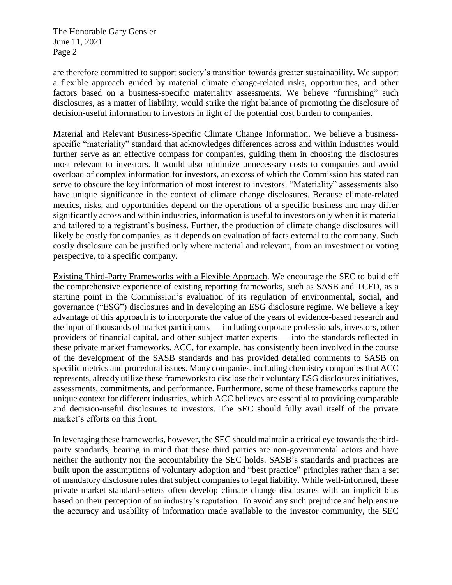The Honorable Gary Gensler June 11, 2021 Page 2

are therefore committed to support society's transition towards greater sustainability. We support a flexible approach guided by material climate change-related risks, opportunities, and other factors based on a business-specific materiality assessments. We believe "furnishing" such disclosures, as a matter of liability, would strike the right balance of promoting the disclosure of decision-useful information to investors in light of the potential cost burden to companies.

Material and Relevant Business-Specific Climate Change Information. We believe a businessspecific "materiality" standard that acknowledges differences across and within industries would further serve as an effective compass for companies, guiding them in choosing the disclosures most relevant to investors. It would also minimize unnecessary costs to companies and avoid overload of complex information for investors, an excess of which the Commission has stated can serve to obscure the key information of most interest to investors. "Materiality" assessments also have unique significance in the context of climate change disclosures. Because climate-related metrics, risks, and opportunities depend on the operations of a specific business and may differ significantly across and within industries, information is useful to investors only when it is material and tailored to a registrant's business. Further, the production of climate change disclosures will likely be costly for companies, as it depends on evaluation of facts external to the company. Such costly disclosure can be justified only where material and relevant, from an investment or voting perspective, to a specific company.

Existing Third-Party Frameworks with a Flexible Approach. We encourage the SEC to build off the comprehensive experience of existing reporting frameworks, such as SASB and TCFD, as a starting point in the Commission's evaluation of its regulation of environmental, social, and governance ("ESG") disclosures and in developing an ESG disclosure regime. We believe a key advantage of this approach is to incorporate the value of the years of evidence-based research and the input of thousands of market participants — including corporate professionals, investors, other providers of financial capital, and other subject matter experts — into the standards reflected in these private market frameworks. ACC, for example, has consistently been involved in the course of the development of the SASB standards and has provided detailed comments to SASB on specific metrics and procedural issues. Many companies, including chemistry companies that ACC represents, already utilize these frameworks to disclose their voluntary ESG disclosures initiatives, assessments, commitments, and performance. Furthermore, some of these frameworks capture the unique context for different industries, which ACC believes are essential to providing comparable and decision-useful disclosures to investors. The SEC should fully avail itself of the private market's efforts on this front.

In leveraging these frameworks, however, the SEC should maintain a critical eye towards the thirdparty standards, bearing in mind that these third parties are non-governmental actors and have neither the authority nor the accountability the SEC holds. SASB's standards and practices are built upon the assumptions of voluntary adoption and "best practice" principles rather than a set of mandatory disclosure rules that subject companies to legal liability. While well-informed, these private market standard-setters often develop climate change disclosures with an implicit bias based on their perception of an industry's reputation. To avoid any such prejudice and help ensure the accuracy and usability of information made available to the investor community, the SEC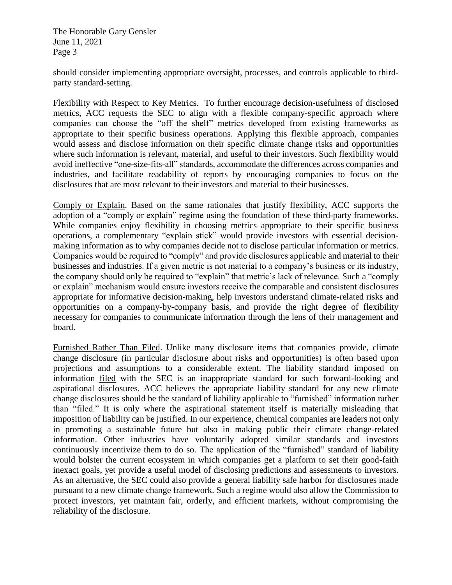The Honorable Gary Gensler June 11, 2021 Page 3

should consider implementing appropriate oversight, processes, and controls applicable to thirdparty standard-setting.

Flexibility with Respect to Key Metrics. To further encourage decision-usefulness of disclosed metrics, ACC requests the SEC to align with a flexible company-specific approach where companies can choose the "off the shelf" metrics developed from existing frameworks as appropriate to their specific business operations. Applying this flexible approach, companies would assess and disclose information on their specific climate change risks and opportunities where such information is relevant, material, and useful to their investors. Such flexibility would avoid ineffective "one-size-fits-all" standards, accommodate the differences across companies and industries, and facilitate readability of reports by encouraging companies to focus on the disclosures that are most relevant to their investors and material to their businesses.

Comply or Explain. Based on the same rationales that justify flexibility, ACC supports the adoption of a "comply or explain" regime using the foundation of these third-party frameworks. While companies enjoy flexibility in choosing metrics appropriate to their specific business operations, a complementary "explain stick" would provide investors with essential decisionmaking information as to why companies decide not to disclose particular information or metrics. Companies would be required to "comply" and provide disclosures applicable and material to their businesses and industries. If a given metric is not material to a company's business or its industry, the company should only be required to "explain" that metric's lack of relevance. Such a "comply or explain" mechanism would ensure investors receive the comparable and consistent disclosures appropriate for informative decision-making, help investors understand climate-related risks and opportunities on a company-by-company basis, and provide the right degree of flexibility necessary for companies to communicate information through the lens of their management and board.

Furnished Rather Than Filed. Unlike many disclosure items that companies provide, climate change disclosure (in particular disclosure about risks and opportunities) is often based upon projections and assumptions to a considerable extent. The liability standard imposed on information filed with the SEC is an inappropriate standard for such forward-looking and aspirational disclosures. ACC believes the appropriate liability standard for any new climate change disclosures should be the standard of liability applicable to "furnished" information rather than "filed." It is only where the aspirational statement itself is materially misleading that imposition of liability can be justified. In our experience, chemical companies are leaders not only in promoting a sustainable future but also in making public their climate change-related information. Other industries have voluntarily adopted similar standards and investors continuously incentivize them to do so. The application of the "furnished" standard of liability would bolster the current ecosystem in which companies get a platform to set their good-faith inexact goals, yet provide a useful model of disclosing predictions and assessments to investors. As an alternative, the SEC could also provide a general liability safe harbor for disclosures made pursuant to a new climate change framework. Such a regime would also allow the Commission to protect investors, yet maintain fair, orderly, and efficient markets, without compromising the reliability of the disclosure.